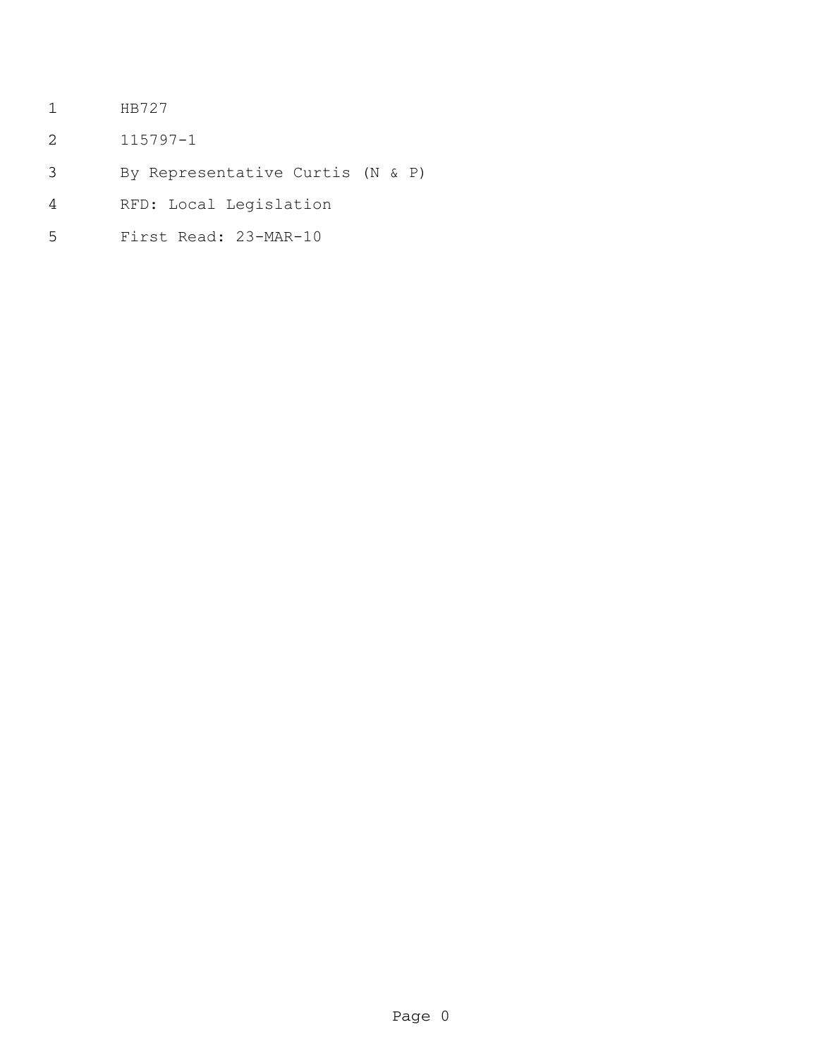- HB727
- 115797-1
- By Representative Curtis (N & P)
- RFD: Local Legislation
- First Read: 23-MAR-10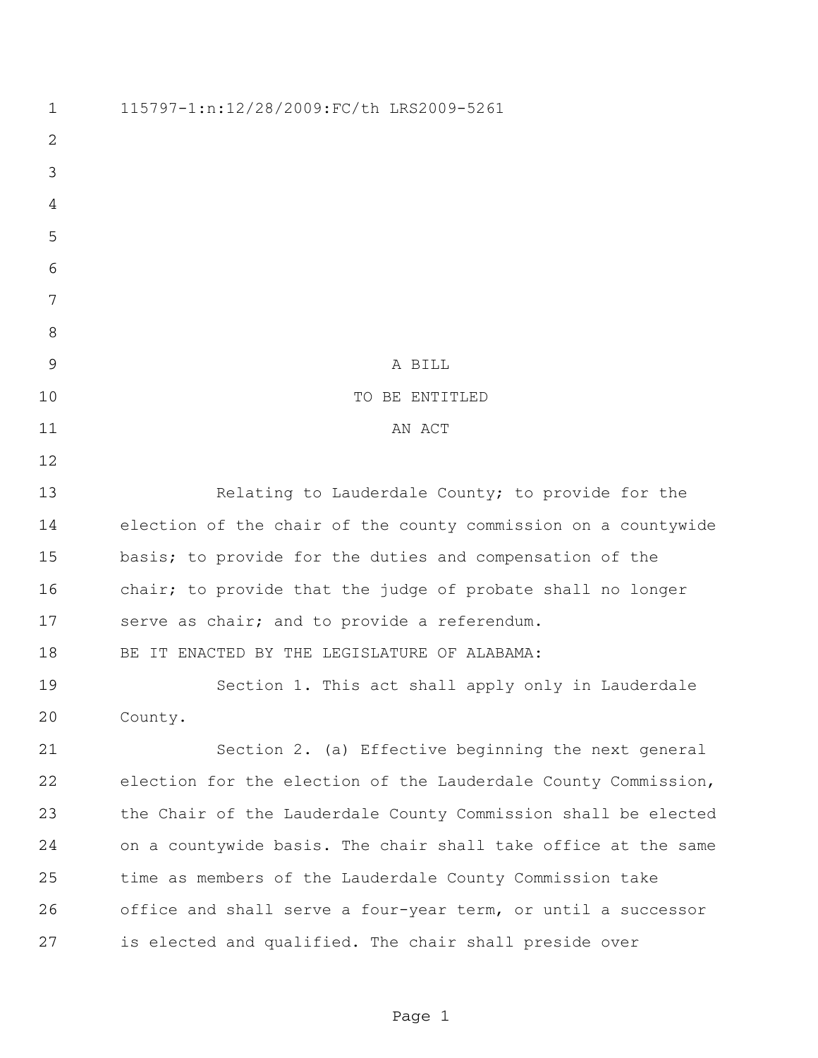| $\mathbf 1$    | 115797-1:n:12/28/2009:FC/th LRS2009-5261                       |
|----------------|----------------------------------------------------------------|
| $\overline{2}$ |                                                                |
| 3              |                                                                |
| 4              |                                                                |
| 5              |                                                                |
| 6              |                                                                |
| 7              |                                                                |
| 8              |                                                                |
| 9              | A BILL                                                         |
| 10             | TO BE ENTITLED                                                 |
| 11             | AN ACT                                                         |
| 12             |                                                                |
| 13             | Relating to Lauderdale County; to provide for the              |
| 14             | election of the chair of the county commission on a countywide |
| 15             | basis; to provide for the duties and compensation of the       |
| 16             | chair; to provide that the judge of probate shall no longer    |
| 17             | serve as chair; and to provide a referendum.                   |
| 18             | BE IT ENACTED BY THE LEGISLATURE OF ALABAMA:                   |
| 19             | Section 1. This act shall apply only in Lauderdale             |
| 20             | County.                                                        |
| 21             | Section 2. (a) Effective beginning the next general            |
| 22             | election for the election of the Lauderdale County Commission, |
| 23             | the Chair of the Lauderdale County Commission shall be elected |
| 24             | on a countywide basis. The chair shall take office at the same |
| 25             | time as members of the Lauderdale County Commission take       |
| 26             | office and shall serve a four-year term, or until a successor  |
| 27             | is elected and qualified. The chair shall preside over         |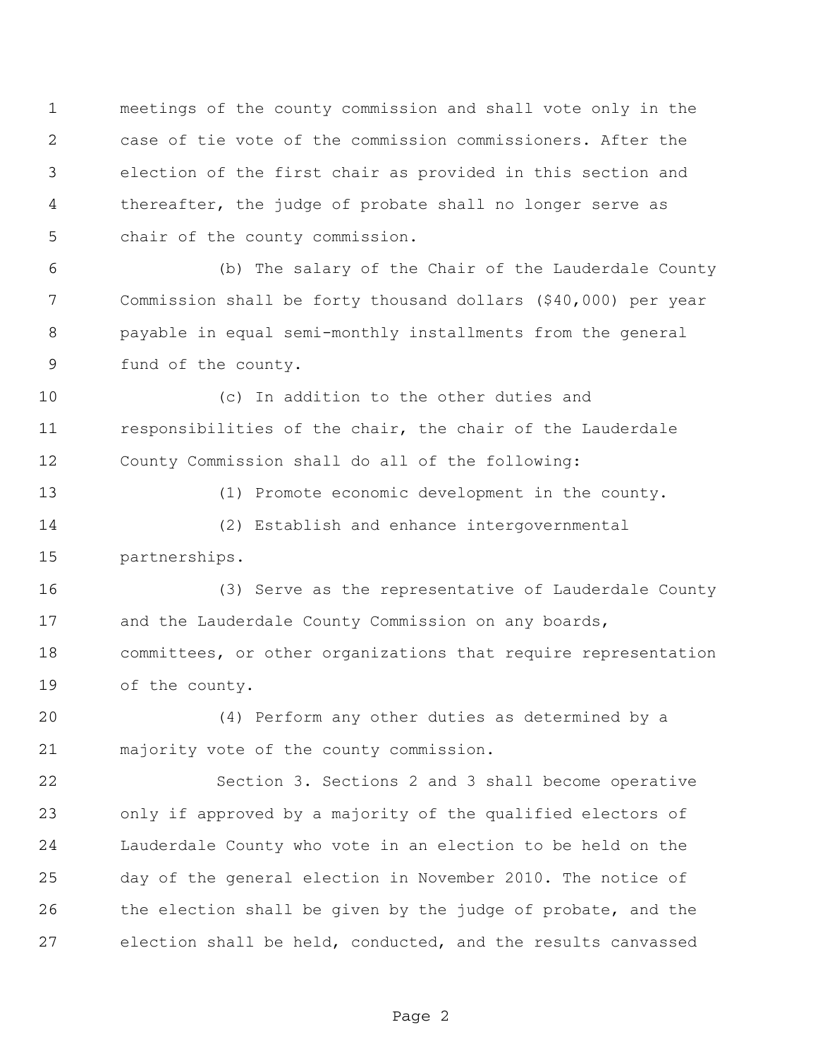meetings of the county commission and shall vote only in the case of tie vote of the commission commissioners. After the election of the first chair as provided in this section and thereafter, the judge of probate shall no longer serve as chair of the county commission.

 (b) The salary of the Chair of the Lauderdale County Commission shall be forty thousand dollars (\$40,000) per year payable in equal semi-monthly installments from the general fund of the county.

 (c) In addition to the other duties and responsibilities of the chair, the chair of the Lauderdale County Commission shall do all of the following:

 (1) Promote economic development in the county. (2) Establish and enhance intergovernmental partnerships.

 (3) Serve as the representative of Lauderdale County 17 and the Lauderdale County Commission on any boards, committees, or other organizations that require representation of the county.

 (4) Perform any other duties as determined by a majority vote of the county commission.

 Section 3. Sections 2 and 3 shall become operative only if approved by a majority of the qualified electors of Lauderdale County who vote in an election to be held on the day of the general election in November 2010. The notice of 26 the election shall be given by the judge of probate, and the election shall be held, conducted, and the results canvassed